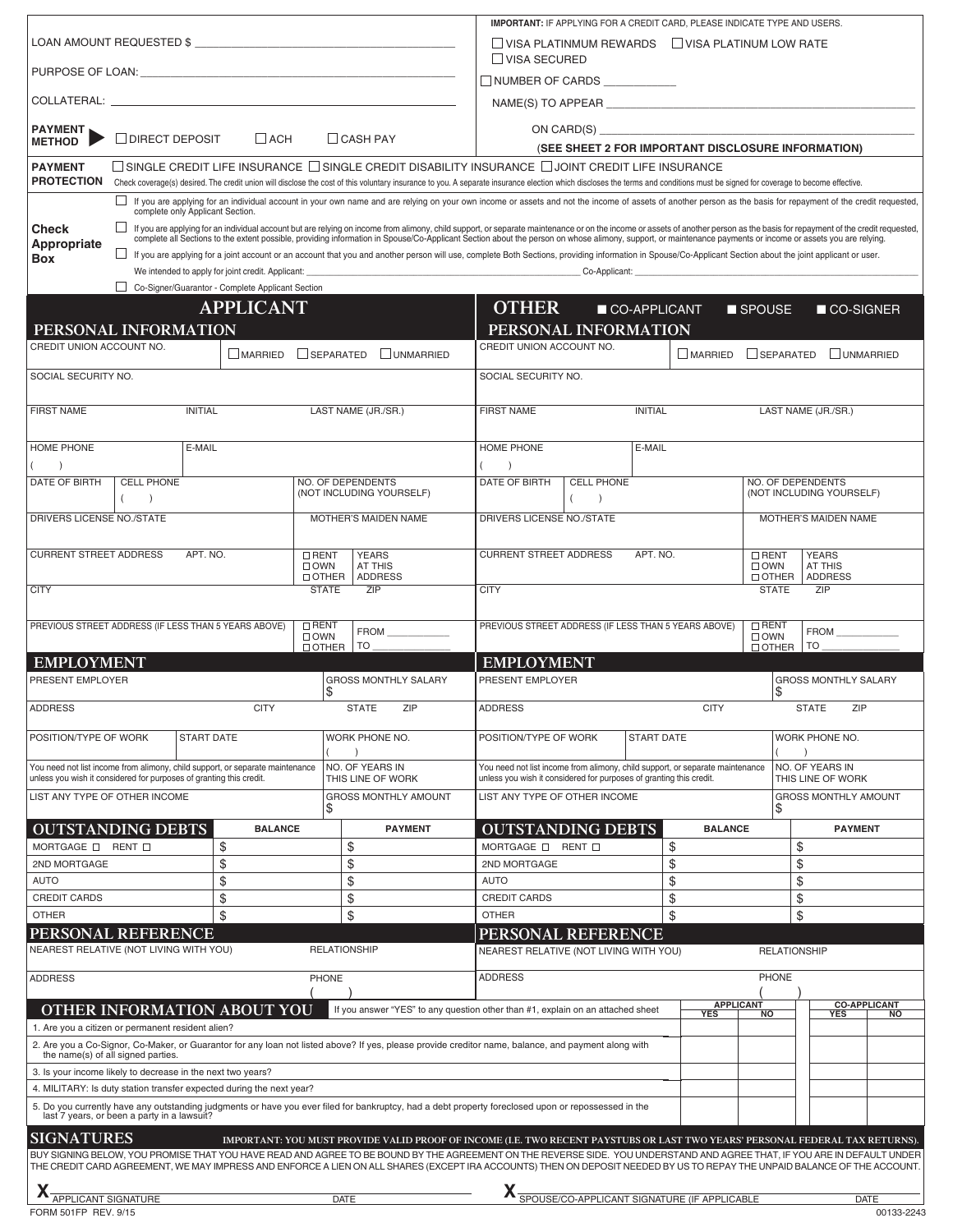|                                                                                                                                                                                                                                                |                                                                               |                                                  |                              |                                                                                                                                                                                                                                                                                                                                                       |                                                                                                      |                                       |                   | <b>IMPORTANT: IF APPLYING FOR A CREDIT CARD, PLEASE INDICATE TYPE AND USERS.</b> |                                                      |                     |                             |             |
|------------------------------------------------------------------------------------------------------------------------------------------------------------------------------------------------------------------------------------------------|-------------------------------------------------------------------------------|--------------------------------------------------|------------------------------|-------------------------------------------------------------------------------------------------------------------------------------------------------------------------------------------------------------------------------------------------------------------------------------------------------------------------------------------------------|------------------------------------------------------------------------------------------------------|---------------------------------------|-------------------|----------------------------------------------------------------------------------|------------------------------------------------------|---------------------|-----------------------------|-------------|
|                                                                                                                                                                                                                                                |                                                                               |                                                  |                              |                                                                                                                                                                                                                                                                                                                                                       |                                                                                                      |                                       |                   | VISA PLATINMUM REWARDS   VISA PLATINUM LOW RATE                                  |                                                      |                     |                             |             |
|                                                                                                                                                                                                                                                |                                                                               |                                                  |                              | $\Box$ VISA SECURED                                                                                                                                                                                                                                                                                                                                   |                                                                                                      |                                       |                   |                                                                                  |                                                      |                     |                             |             |
| COLLATERAL: Laterature and the collection of the collection of the collection of the collection of the collection of the collection of the collection of the collection of the collection of the collection of the collection                  |                                                                               |                                                  |                              | $\Box$ NUMBER OF CARDS<br>NAME(S) TO APPEAR <b>ACCEPTED ASSESSED ASSESSED.</b>                                                                                                                                                                                                                                                                        |                                                                                                      |                                       |                   |                                                                                  |                                                      |                     |                             |             |
|                                                                                                                                                                                                                                                |                                                                               |                                                  |                              |                                                                                                                                                                                                                                                                                                                                                       |                                                                                                      |                                       |                   |                                                                                  |                                                      |                     |                             |             |
| PAYMENT<br><b>METHOD</b>                                                                                                                                                                                                                       | □ DIRECT DEPOSIT                                                              | $\Box$ ACH                                       |                              | $\Box$ CASH PAY                                                                                                                                                                                                                                                                                                                                       | ON CARD(S)<br>(SEE SHEET 2 FOR IMPORTANT DISCLOSURE INFORMATION)                                     |                                       |                   |                                                                                  |                                                      |                     |                             |             |
| <b>PAYMENT</b>                                                                                                                                                                                                                                 |                                                                               |                                                  |                              | $\Box$ SINGLE CREDIT LIFE INSURANCE $\Box$ SINGLE CREDIT DISABILITY INSURANCE $\Box$ JOINT CREDIT LIFE INSURANCE                                                                                                                                                                                                                                      |                                                                                                      |                                       |                   |                                                                                  |                                                      |                     |                             |             |
| <b>PROTECTION</b>                                                                                                                                                                                                                              |                                                                               |                                                  |                              | Check coverage(s) desired. The credit union will disclose the cost of this voluntary insurance to you. A separate insurance election which discloses the terms and conditions must be signed for coverage to become effective.                                                                                                                        |                                                                                                      |                                       |                   |                                                                                  |                                                      |                     |                             |             |
|                                                                                                                                                                                                                                                | complete only Applicant Section.                                              |                                                  |                              | If you are applying for an individual account in your own name and are relying on your own income or assets and not the income of assets of another person as the basis for repayment of the credit requested,                                                                                                                                        |                                                                                                      |                                       |                   |                                                                                  |                                                      |                     |                             |             |
| <b>Check</b><br>Appropriate                                                                                                                                                                                                                    |                                                                               |                                                  |                              | If you are applying for an individual account but are relying on income from alimony, child support, or separate maintenance or on the income or assets of another person as the basis for repayment of the credit requested,                                                                                                                         |                                                                                                      |                                       |                   |                                                                                  |                                                      |                     |                             |             |
| If you are applying for a joint account or an account that you and another person will use, complete Both Sections, providing information in Spouse/Co-Applicant Section about the joint applicant or user.<br>Box                             |                                                                               |                                                  |                              |                                                                                                                                                                                                                                                                                                                                                       |                                                                                                      |                                       |                   |                                                                                  |                                                      |                     |                             |             |
|                                                                                                                                                                                                                                                |                                                                               | Co-Signer/Guarantor - Complete Applicant Section |                              |                                                                                                                                                                                                                                                                                                                                                       |                                                                                                      |                                       |                   | $Co-Applicant:$                                                                  |                                                      |                     |                             |             |
|                                                                                                                                                                                                                                                |                                                                               | <b>APPLICANT</b>                                 |                              |                                                                                                                                                                                                                                                                                                                                                       | <b>OTHER</b><br>CO-APPLICANT<br>■ SPOUSE<br>■ CO-SIGNER                                              |                                       |                   |                                                                                  |                                                      |                     |                             |             |
|                                                                                                                                                                                                                                                | PERSONAL INFORMATION                                                          |                                                  |                              |                                                                                                                                                                                                                                                                                                                                                       | PERSONAL INFORMATION                                                                                 |                                       |                   |                                                                                  |                                                      |                     |                             |             |
| CREDIT UNION ACCOUNT NO.                                                                                                                                                                                                                       |                                                                               | MARRIED                                          | $\Box$ SEPARATED             | UNMARRIED                                                                                                                                                                                                                                                                                                                                             | CREDIT UNION ACCOUNT NO.                                                                             |                                       |                   | MARRIED                                                                          |                                                      | $\Box$ SEPARATED    | UNMARRIED                   |             |
| SOCIAL SECURITY NO.                                                                                                                                                                                                                            |                                                                               |                                                  |                              |                                                                                                                                                                                                                                                                                                                                                       | SOCIAL SECURITY NO.                                                                                  |                                       |                   |                                                                                  |                                                      |                     |                             |             |
| <b>FIRST NAME</b>                                                                                                                                                                                                                              | <b>INITIAL</b>                                                                |                                                  |                              | LAST NAME (JR./SR.)                                                                                                                                                                                                                                                                                                                                   | <b>FIRST NAME</b>                                                                                    | LAST NAME (JR./SR.)<br><b>INITIAL</b> |                   |                                                                                  |                                                      |                     |                             |             |
| <b>HOME PHONE</b>                                                                                                                                                                                                                              | E-MAIL                                                                        |                                                  |                              |                                                                                                                                                                                                                                                                                                                                                       | HOME PHONE                                                                                           |                                       | E-MAIL            |                                                                                  |                                                      |                     |                             |             |
| $\rightarrow$<br><b>DATE OF BIRTH</b>                                                                                                                                                                                                          | <b>CELL PHONE</b>                                                             |                                                  | <b>NO. OF DEPENDENTS</b>     |                                                                                                                                                                                                                                                                                                                                                       | $\rightarrow$<br><b>DATE OF BIRTH</b>                                                                | <b>CELL PHONE</b>                     |                   |                                                                                  |                                                      | NO. OF DEPENDENTS   |                             |             |
|                                                                                                                                                                                                                                                |                                                                               |                                                  |                              | (NOT INCLUDING YOURSELF)                                                                                                                                                                                                                                                                                                                              |                                                                                                      |                                       |                   |                                                                                  |                                                      |                     | (NOT INCLUDING YOURSELF)    |             |
| DRIVERS LICENSE NO./STATE                                                                                                                                                                                                                      |                                                                               |                                                  |                              | <b>MOTHER'S MAIDEN NAME</b>                                                                                                                                                                                                                                                                                                                           | DRIVERS LICENSE NO./STATE                                                                            |                                       |                   |                                                                                  |                                                      |                     | <b>MOTHER'S MAIDEN NAME</b> |             |
| <b>CURRENT STREET ADDRESS</b>                                                                                                                                                                                                                  | APT. NO.                                                                      |                                                  | $\Box$ RENT<br>$\Box$ OWN    | <b>YEARS</b><br><b>AT THIS</b>                                                                                                                                                                                                                                                                                                                        | <b>CURRENT STREET ADDRESS</b><br>APT. NO.                                                            |                                       |                   |                                                                                  | $\Box$ RENT<br><b>YEARS</b><br>$\Box$ OWN<br>AT THIS |                     |                             |             |
| <b>CITY</b>                                                                                                                                                                                                                                    |                                                                               |                                                  | $\Box$ OTHER<br><b>STATE</b> | <b>ADDRESS</b><br>ZIP                                                                                                                                                                                                                                                                                                                                 | $\Box$ OTHER<br><b>ADDRESS</b><br>ZIP<br><b>CITY</b><br><b>STATE</b>                                 |                                       |                   |                                                                                  |                                                      |                     |                             |             |
|                                                                                                                                                                                                                                                |                                                                               |                                                  |                              |                                                                                                                                                                                                                                                                                                                                                       |                                                                                                      |                                       |                   |                                                                                  |                                                      |                     |                             |             |
|                                                                                                                                                                                                                                                | PREVIOUS STREET ADDRESS (IF LESS THAN 5 YEARS ABOVE)                          |                                                  | $\Box$ RENT<br>$\Box$ OWN    | <b>FROM</b>                                                                                                                                                                                                                                                                                                                                           | PREVIOUS STREET ADDRESS (IF LESS THAN 5 YEARS ABOVE)                                                 |                                       |                   |                                                                                  | $\Box$ RENT<br>$\Box$ OWN                            |                     | <b>FROM EXAMPLE</b>         |             |
| <b>EMPLOYMENT</b>                                                                                                                                                                                                                              |                                                                               |                                                  | $\Box$ OTHER                 | $TO-$                                                                                                                                                                                                                                                                                                                                                 | <b>EMPLOYMENT</b>                                                                                    |                                       |                   |                                                                                  | $\Box$ OTHER                                         | $TO-$               |                             |             |
| PRESENT EMPLOYER                                                                                                                                                                                                                               |                                                                               |                                                  | \$                           | <b>GROSS MONTHLY SALARY</b>                                                                                                                                                                                                                                                                                                                           | <b>GROSS MONTHLY SALARY</b><br>PRESENT EMPLOYER<br>\$                                                |                                       |                   |                                                                                  |                                                      |                     |                             |             |
| <b>ADDRESS</b>                                                                                                                                                                                                                                 |                                                                               | <b>CITY</b>                                      |                              | <b>STATE</b><br><b>ZIP</b>                                                                                                                                                                                                                                                                                                                            | <b>ADDRESS</b><br><b>CITY</b><br><b>STATE</b><br>ZIP                                                 |                                       |                   |                                                                                  |                                                      |                     |                             |             |
| POSITION/TYPE OF WORK                                                                                                                                                                                                                          | <b>START DATE</b>                                                             |                                                  |                              | WORK PHONE NO.                                                                                                                                                                                                                                                                                                                                        | POSITION/TYPE OF WORK                                                                                |                                       | <b>START DATE</b> |                                                                                  |                                                      |                     | WORK PHONE NO.              |             |
|                                                                                                                                                                                                                                                | You need not list income from alimony, child support, or separate maintenance |                                                  |                              | NO. OF YEARS IN                                                                                                                                                                                                                                                                                                                                       | You need not list income from alimony, child support, or separate maintenance                        |                                       |                   |                                                                                  |                                                      |                     | NO. OF YEARS IN             |             |
| unless you wish it considered for purposes of granting this credit.<br>LIST ANY TYPE OF OTHER INCOME                                                                                                                                           |                                                                               |                                                  |                              | THIS LINE OF WORK<br><b>GROSS MONTHLY AMOUNT</b>                                                                                                                                                                                                                                                                                                      | unless you wish it considered for purposes of granting this credit.<br>LIST ANY TYPE OF OTHER INCOME |                                       |                   |                                                                                  | THIS LINE OF WORK<br><b>GROSS MONTHLY AMOUNT</b>     |                     |                             |             |
|                                                                                                                                                                                                                                                |                                                                               |                                                  | \$                           |                                                                                                                                                                                                                                                                                                                                                       |                                                                                                      |                                       |                   |                                                                                  | \$                                                   |                     |                             |             |
| MORTGAGE O RENT O                                                                                                                                                                                                                              | <b>OUTSTANDING DEBTS</b>                                                      | <b>BALANCE</b><br>\$                             | \$                           | <b>PAYMENT</b>                                                                                                                                                                                                                                                                                                                                        | <b>OUTSTANDING DEBTS</b><br>MORTGAGE $\square$                                                       | RENT O                                |                   | <b>BALANCE</b><br>\$                                                             |                                                      | \$                  | <b>PAYMENT</b>              |             |
| 2ND MORTGAGE                                                                                                                                                                                                                                   |                                                                               | \$                                               | \$                           |                                                                                                                                                                                                                                                                                                                                                       | 2ND MORTGAGE                                                                                         |                                       |                   | \$                                                                               |                                                      | \$                  |                             |             |
| <b>AUTO</b>                                                                                                                                                                                                                                    |                                                                               | \$                                               | \$                           |                                                                                                                                                                                                                                                                                                                                                       | <b>AUTO</b>                                                                                          |                                       |                   | \$                                                                               |                                                      | \$                  |                             |             |
| <b>CREDIT CARDS</b><br><b>OTHER</b>                                                                                                                                                                                                            |                                                                               | \$<br>\$                                         | \$<br>\$                     |                                                                                                                                                                                                                                                                                                                                                       | <b>CREDIT CARDS</b><br><b>OTHER</b>                                                                  |                                       |                   | \$<br>\$                                                                         |                                                      | \$<br>\$            |                             |             |
|                                                                                                                                                                                                                                                | PERSONAL REFERENCE                                                            |                                                  |                              |                                                                                                                                                                                                                                                                                                                                                       | PERSONAL REFERENCE                                                                                   |                                       |                   |                                                                                  |                                                      |                     |                             |             |
|                                                                                                                                                                                                                                                | NEAREST RELATIVE (NOT LIVING WITH YOU)                                        |                                                  | <b>RELATIONSHIP</b>          |                                                                                                                                                                                                                                                                                                                                                       | NEAREST RELATIVE (NOT LIVING WITH YOU)                                                               |                                       |                   |                                                                                  |                                                      | <b>RELATIONSHIP</b> |                             |             |
| <b>ADDRESS</b>                                                                                                                                                                                                                                 |                                                                               |                                                  | PHONE                        |                                                                                                                                                                                                                                                                                                                                                       | <b>ADDRESS</b>                                                                                       |                                       |                   |                                                                                  | <b>PHONE</b>                                         |                     |                             |             |
| <b>APPLICANT</b><br><b>OTHER INFORMATION ABOUT YOU</b><br>If you answer "YES" to any question other than #1, explain on an attached sheet<br><b>YES</b><br><b>NO</b>                                                                           |                                                                               |                                                  |                              |                                                                                                                                                                                                                                                                                                                                                       | <b>YES</b>                                                                                           | <b>CO-APPLICANT</b><br><b>NO</b>      |                   |                                                                                  |                                                      |                     |                             |             |
| 1. Are you a citizen or permanent resident alien?<br>2. Are you a Co-Signor, Co-Maker, or Guarantor for any loan not listed above? If yes, please provide creditor name, balance, and payment along with<br>the name(s) of all signed parties. |                                                                               |                                                  |                              |                                                                                                                                                                                                                                                                                                                                                       |                                                                                                      |                                       |                   |                                                                                  |                                                      |                     |                             |             |
| 3. Is your income likely to decrease in the next two years?                                                                                                                                                                                    |                                                                               |                                                  |                              |                                                                                                                                                                                                                                                                                                                                                       |                                                                                                      |                                       |                   |                                                                                  |                                                      |                     |                             |             |
| 4. MILITARY: Is duty station transfer expected during the next year?                                                                                                                                                                           |                                                                               |                                                  |                              |                                                                                                                                                                                                                                                                                                                                                       |                                                                                                      |                                       |                   |                                                                                  |                                                      |                     |                             |             |
| 5. Do you currently have any outstanding judgments or have you ever filed for bankruptcy, had a debt property foreclosed upon or repossessed in the<br>last 7 years, or been a party in a lawsuit?                                             |                                                                               |                                                  |                              |                                                                                                                                                                                                                                                                                                                                                       |                                                                                                      |                                       |                   |                                                                                  |                                                      |                     |                             |             |
| <b>SIGNATURES</b>                                                                                                                                                                                                                              |                                                                               |                                                  |                              | IMPORTANT: YOU MUST PROVIDE VALID PROOF OF INCOME (I.E. TWO RECENT PAYSTUBS OR LAST TWO YEARS' PERSONAL FEDERAL TAX RETURNS).                                                                                                                                                                                                                         |                                                                                                      |                                       |                   |                                                                                  |                                                      |                     |                             |             |
|                                                                                                                                                                                                                                                |                                                                               |                                                  |                              | BUY SIGNING BELOW, YOU PROMISE THAT YOU HAVE READ AND AGREE TO BE BOUND BY THE AGREEMENT ON THE REVERSE SIDE. YOU UNDERSTAND AND AGREE THAT, IF YOU ARE IN DEFAULT UNDER<br>THE CREDIT CARD AGREEMENT, WE MAY IMPRESS AND ENFORCE A LIEN ON ALL SHARES (EXCEPT IRA ACCOUNTS) THEN ON DEPOSIT NEEDED BY US TO REPAY THE UNPAID BALANCE OF THE ACCOUNT. |                                                                                                      |                                       |                   |                                                                                  |                                                      |                     |                             |             |
|                                                                                                                                                                                                                                                |                                                                               |                                                  |                              |                                                                                                                                                                                                                                                                                                                                                       |                                                                                                      |                                       |                   | <b>X</b> SPOUSE/CO-APPLICANT SIGNATURE (IF APPLICABLE                            |                                                      |                     |                             |             |
| APPLICANT SIGNATURE                                                                                                                                                                                                                            |                                                                               |                                                  | <b>DATE</b>                  |                                                                                                                                                                                                                                                                                                                                                       |                                                                                                      |                                       |                   |                                                                                  |                                                      |                     |                             | <b>DATE</b> |

| T T APPLICANT SIGNATURE | DAI I | T T SPOUSE/CO-APPLICANT SIGNATURE (IF APPLICABLE | DAI∟       |
|-------------------------|-------|--------------------------------------------------|------------|
| FORM 501FP REV. 9/15    |       |                                                  | 00133-2243 |